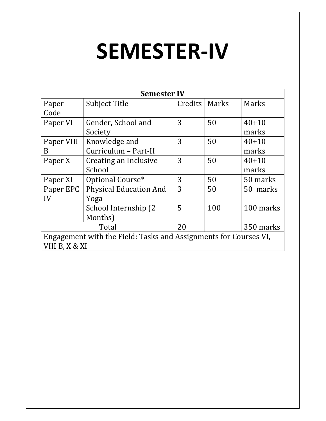# SEMESTER-IV

| <b>Semester IV</b>                                               |                               |         |       |           |
|------------------------------------------------------------------|-------------------------------|---------|-------|-----------|
| Paper                                                            | <b>Subject Title</b>          | Credits | Marks | Marks     |
| Code                                                             |                               |         |       |           |
| Paper VI                                                         | Gender, School and            | 3       | 50    | $40 + 10$ |
|                                                                  | Society                       |         |       | marks     |
| Paper VIII                                                       | Knowledge and                 | 3       | 50    | $40 + 10$ |
| B                                                                | Curriculum - Part-II          |         |       | marks     |
| Paper X                                                          | Creating an Inclusive         | 3       | 50    | $40 + 10$ |
|                                                                  | School                        |         |       | marks     |
| Paper XI                                                         | Optional Course*              | 3       | 50    | 50 marks  |
| Paper EPC                                                        | <b>Physical Education And</b> | 3       | 50    | 50 marks  |
| IV                                                               | Yoga                          |         |       |           |
|                                                                  | School Internship (2)         | 5       | 100   | 100 marks |
|                                                                  | Months)                       |         |       |           |
| Total                                                            |                               | 20      |       | 350 marks |
| Engagement with the Field: Tasks and Assignments for Courses VI, |                               |         |       |           |
| VIII B, X & XI                                                   |                               |         |       |           |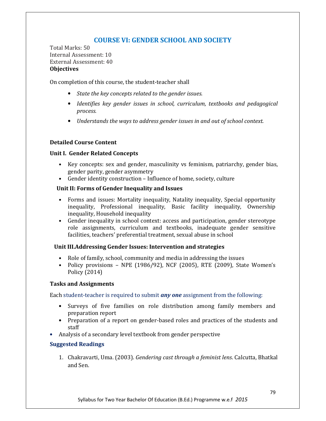## COURSE VI: GENDER SCHOOL AND SOCIETY

Total Marks: 50 Internal Assessment: 10 External Assessment: 40 **Objectives** 

On completion of this course, the student-teacher shall

- State the key concepts related to the gender issues.
- Identifies key gender issues in school, curriculum, textbooks and pedagogical process.
- Understands the ways to address gender issues in and out of school context.

#### Detailed Course Content

#### Unit I. Gender Related Concepts

- Key concepts: sex and gender, masculinity vs feminism, patriarchy, gender bias, gender parity, gender asymmetry
- Gender identity construction Influence of home, society, culture

#### Unit II: Forms of Gender Inequality and Issues

- Forms and issues: Mortality inequality, Natality inequality, Special opportunity inequality, Professional inequality, Basic facility inequality, Ownership inequality, Household inequality
- Gender inequality in school context: access and participation, gender stereotype role assignments, curriculum and textbooks, inadequate gender sensitive facilities, teachers' preferential treatment, sexual abuse in school

#### Unit III.Addressing Gender Issues: Intervention and strategies

- Role of family, school, community and media in addressing the issues
- Policy provisions NPE (1986/92), NCF (2005), RTE (2009), State Women's Policy (2014)

#### Tasks and Assignments

Each student-teacher is required to submit *any one* assignment from the following:

- Surveys of five families on role distribution among family members and preparation report
- Preparation of a report on gender-based roles and practices of the students and staff
- Analysis of a secondary level textbook from gender perspective

#### Suggested Readings

1. Chakravarti, Uma. (2003). Gendering cast through a feminist lens. Calcutta, Bhatkal and Sen.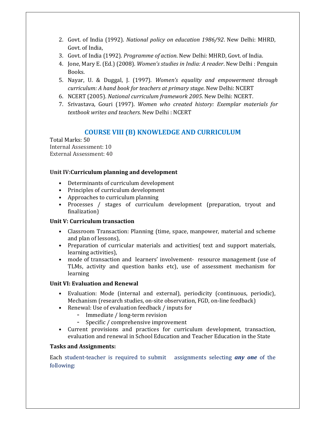- 2. Govt. of India (1992). National policy on education 1986/92. New Delhi: MHRD, Govt. of India,
- 3. Govt. of India (1992). Programme of action. New Delhi: MHRD, Govt. of India.
- 4. Jone, Mary E. (Ed.) (2008). Women's studies in India: A reader. New Delhi : Penguin Books.
- 5. Nayar, U. & Duggal, J. (1997). Women's equality and empowerment through curriculum: A hand book for teachers at primary stage. New Delhi: NCERT
- 6. NCERT (2005). National curriculum framework 2005. New Delhi: NCERT.
- 7. Srivastava, Gouri (1997). Women who created history: Exemplar materials for textbook writes and teachers. New Delhi : NCERT

## COURSE VIII (B) KNOWLEDGE AND CURRICULUM

Total Marks: 50 Internal Assessment: 10 External Assessment: 40

#### Unit IV:Curriculum planning and development

- Determinants of curriculum development
- Principles of curriculum development
- Approaches to curriculum planning
- Processes / stages of curriculum development (preparation, tryout and finalization)

#### Unit V: Curriculum transaction

- Classroom Transaction: Planning (time, space, manpower, material and scheme and plan of lessons),
- Preparation of curricular materials and activities( text and support materials, learning activities),
- mode of transaction and learners' involvement- resource management (use of TLMs, activity and question banks etc), use of assessment mechanism for learning

#### Unit VI: Evaluation and Renewal

- Evaluation: Mode (internal and external), periodicity (continuous, periodic), Mechanism (research studies, on-site observation, FGD, on-line feedback)
- Renewal: Use of evaluation feedback / inputs for
	- Immediate / long-term revision
	- Specific / comprehensive improvement
- Current provisions and practices for curriculum development, transaction, evaluation and renewal in School Education and Teacher Education in the State

#### Tasks and Assignments:

Each student-teacher is required to submit assignments selecting **any one** of the following: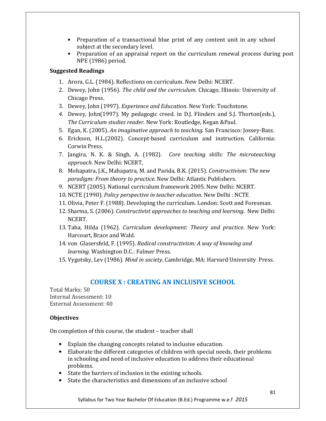- Preparation of a transactional blue print of any content unit in any school subject at the secondary level.
- Preparation of an appraisal report on the curriculum renewal process during post NPE (1986) period.

#### Suggested Readings

- 1. Arora, G.L. (1984). Reflections on curriculum. New Delhi: NCERT.
- 2. Dewey, John (1956). The child and the curriculum. Chicago, Illinois: University of Chicago Press.
- 3. Dewey, John (1997). Experience and Education. New York: Touchstone.
- 4. Dewey, John(1997). My pedagogic creed. in D.J. Flinders and S.J. Thorton(eds.), The Curriculum studies reader. New York: Routledge, Kegan &Paul.
- 5. Egan, K. (2005). An imaginative approach to teaching. San Francisco: Jossey-Bass.
- 6. Erickson, H.L.(2002). Concept-based curriculum and instruction. California: Corwin Press.
- 7. Jangira, N. K. & Singh, A. (1982). Core teaching skills: The microteaching approach. New Delhi: NCERT,
- 8. Mohapatra, J.K., Mahapatra, M. and Parida, B.K. (2015). Constructivism: The new paradigm: From theory to practice. New Delhi: Atlantic Publishers.
- 9. NCERT (2005). National curriculum framework 2005. New Delhi: NCERT.
- 10. NCTE (1990). Policy perspective in teacher education. New Delhi : NCTE
- 11. Olivia, Peter F. (1988). Developing the curriculum. London: Scott and Foresman.
- 12. Sharma, S. (2006). Constructivist approaches to teaching and learning. New Delhi: NCERT.
- 13. Taba, Hilda (1962). Curriculum development: Theory and practice. New York: Harcourt, Brace and Wald.
- 14. von Glasersfeld, F. (1995). Radical constructivism: A way of knowing and learning. Washington D.C.: Falmer Press.
- 15. Vygotsky, Lev (1986). Mind in society. Cambridge, MA: Harvard University Press.

## COURSE X : CREATING AN INCLUSIVE SCHOOL

Total Marks: 50 Internal Assessment: 10 External Assessment: 40

#### **Objectives**

On completion of this course, the student – teacher shall

- Explain the changing concepts related to inclusive education.
- Elaborate the different categories of children with special needs, their problems in schooling and need of inclusive education to address their educational problems.
- State the barriers of inclusion in the existing schools.
- State the characteristics and dimensions of an inclusive school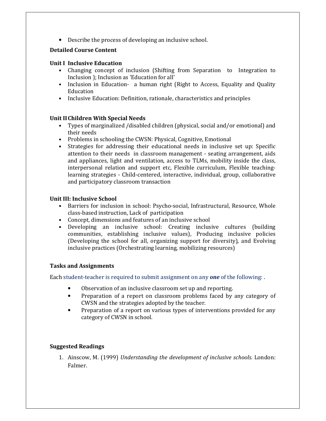• Describe the process of developing an inclusive school.

#### Detailed Course Content

#### Unit I Inclusive Education

- Changing concept of inclusion (Shifting from Separation to Integration to Inclusion ); Inclusion as 'Education for all'
- Inclusion in Education- a human right (Right to Access, Equality and Quality Education
- Inclusive Education: Definition, rationale, characteristics and principles

#### Unit II Children With Special Needs

- Types of marginalized /disabled children (physical, social and/or emotional) and their needs
- Problems in schooling the CWSN: Physical, Cognitive, Emotional
- Strategies for addressing their educational needs in inclusive set up: Specific attention to their needs in classroom management - seating arrangement, aids and appliances, light and ventilation, access to TLMs, mobility inside the class, interpersonal relation and support etc, Flexible curriculum, Flexible teachinglearning strategies - Child-centered, interactive, individual, group, collaborative and participatory classroom transaction

#### Unit III: Inclusive School

- Barriers for inclusion in school: Psycho-social, Infrastructural, Resource, Whole class-based instruction, Lack of participation
- Concept, dimensions and features of an inclusive school
- Developing an inclusive school: Creating inclusive cultures (building communities, establishing inclusive values), Producing inclusive policies (Developing the school for all, organizing support for diversity), and Evolving inclusive practices (Orchestrating learning, mobilizing resources)

#### Tasks and Assignments

Each student-teacher is required to submit assignment on any one of the following:.

- Observation of an inclusive classroom set up and reporting.
- Preparation of a report on classroom problems faced by any category of CWSN and the strategies adopted by the teacher.
- Preparation of a report on various types of interventions provided for any category of CWSN in school.

#### Suggested Readings

1. Ainscow, M. (1999) Understanding the development of inclusive schools. London: Falmer.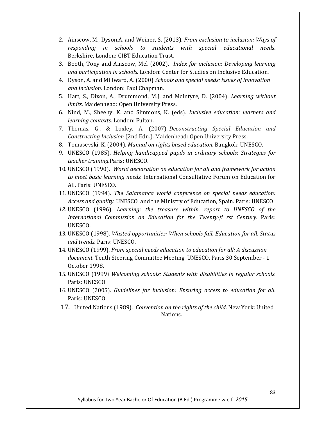- 2. Ainscow, M., Dyson,A. and Weiner, S. (2013). From exclusion to inclusion: Ways of responding in schools to students with special educational needs. Berkshire, London: CIBT Education Trust.
- 3. Booth, Tony and Ainscow, Mel (2002). Index for inclusion: Developing learning and participation in schools. London: Center for Studies on Inclusive Education.
- 4. Dyson, A. and Millward, A. (2000) Schools and special needs: issues of innovation and inclusion. London: Paul Chapman.
- 5. Hart, S., Dixon, A., Drummond, M.J. and McIntyre, D. (2004). Learning without limits. Maidenhead: Open University Press.
- 6. Nind, M., Sheehy, K. and Simmons, K. (eds). Inclusive education: learners and learning contexts. London: Fulton.
- 7. Thomas, G., & Loxley, A. (2007). Deconstructing Special Education and Constructing Inclusion (2nd Edn.). Maidenhead: Open University Press.
- 8. Tomasevski, K. (2004). Manual on rights based education. Bangkok: UNESCO.
- 9. UNESCO (1985). Helping handicapped pupils in ordinary schools: Strategies for teacher training.Paris: UNESCO.
- 10. UNESCO (1990). World declaration on education for all and framework for action to meet basic learning needs. International Consultative Forum on Education for All. Paris: UNESCO.
- 11. UNESCO (1994). The Salamanca world conference on special needs education: Access and quality. UNESCO and the Ministry of Education, Spain. Paris: UNESCO
- 12. UNESCO (1996). Learning: the treasure within. report to UNESCO of the International Commission on Education for the Twenty-fi rst Century. Paris: UNESCO.
- 13. UNESCO (1998). Wasted opportunities: When schools fail. Education for all. Status and trends. Paris: UNESCO.
- 14. UNESCO (1999). From special needs education to education for all: A discussion document. Tenth Steering Committee Meeting UNESCO, Paris 30 September - 1 October 1998.
- 15. UNESCO (1999) Welcoming schools: Students with disabilities in regular schools. Paris: UNESCO
- 16. UNESCO (2005). Guidelines for inclusion: Ensuring access to education for all. Paris: UNESCO.
- 17. United Nations (1989). Convention on the rights of the child. New York: United Nations.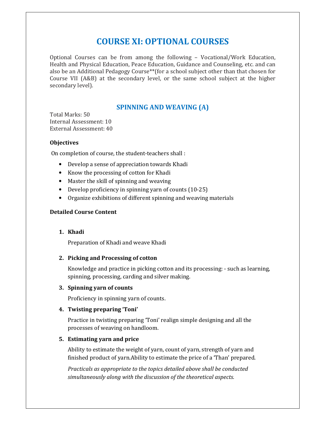# COURSE XI: OPTIONAL COURSES

Optional Courses can be from among the following – Vocational/Work Education, Health and Physical Education, Peace Education, Guidance and Counseling, etc. and can also be an Additional Pedagogy Course\*\*(for a school subject other than that chosen for Course VII (A&B) at the secondary level, or the same school subject at the higher secondary level).

## SPINNING AND WEAVING (A)

Total Marks: 50 Internal Assessment: 10 External Assessment: 40

#### **Objectives**

On completion of course, the student-teachers shall :

- Develop a sense of appreciation towards Khadi
- Know the processing of cotton for Khadi
- Master the skill of spinning and weaving
- Develop proficiency in spinning yarn of counts (10-25)
- Organize exhibitions of different spinning and weaving materials

#### Detailed Course Content

#### 1. Khadi

Preparation of Khadi and weave Khadi

#### 2. Picking and Processing of cotton

Knowledge and practice in picking cotton and its processing: - such as learning, spinning, processing, carding and silver making.

#### 3. Spinning yarn of counts

Proficiency in spinning yarn of counts.

#### 4. Twisting preparing 'Toni'

Practice in twisting preparing 'Toni' realign simple designing and all the processes of weaving on handloom.

#### 5. Estimating yarn and price

Ability to estimate the weight of yarn, count of yarn, strength of yarn and finished product of yarn.Ability to estimate the price of a 'Than' prepared.

Practicals as appropriate to the topics detailed above shall be conducted simultaneously along with the discussion of the theoretical aspects.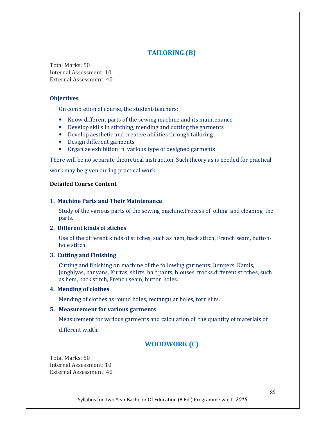## TAILORING (B)

Total Marks: 50 Internal Assessment: 10 External Assessment: 40

#### **Objectives**

On completion of course, the student-teachers:

- Know different parts of the sewing machine and its maintenance
- Develop skills in stitching, mending and cutting the garments
- Develop aesthetic and creative abilities through tailoring
- Design different garments
- Organize exhibition in various type of designed garments

There will be no separate theoretical instruction. Such theory as is needed for practical

work may be given during practical work.

#### Detailed Course Content

#### 1. Machine Parts and Their Maintenance

Study of the various parts of the sewing machine.Process of oiling and cleaning the parts.

#### 2. Different kinds of stiches

Use of the different kinds of stitches, such as hem, back stitch, French seam, buttonhole stitch.

#### 3. Cutting and Finishing

Cutting and finishing on machine of the following garments: Jumpers, Kamis, Junghiyas, banyans, Kurtas, shirts, half pants, blouses, frocks.different stitches, such as hem, back stitch, French seam, button holes.

#### 4. Mending of clothes

Mending of clothes as round holes, rectangular holes, torn slits.

#### 5. Measurement for various garments

Measurement for various garments and calculation of the quantity of materials of different width.

## WOODWORK (C)

Total Marks: 50 Internal Assessment: 10 External Assessment: 40

Syllabus for Two Year Bachelor Of Education (B.Ed.) Programme w.e.f 2015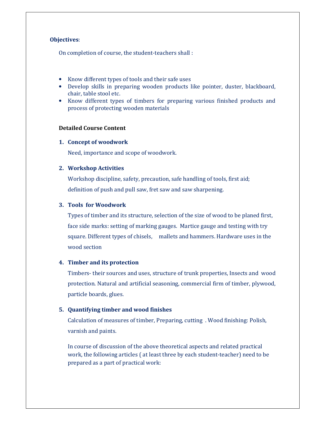#### Objectives:

On completion of course, the student-teachers shall :

- Know different types of tools and their safe uses
- Develop skills in preparing wooden products like pointer, duster, blackboard, chair, table stool etc.
- Know different types of timbers for preparing various finished products and process of protecting wooden materials

#### Detailed Course Content

#### 1. Concept of woodwork

Need, importance and scope of woodwork.

#### 2. Workshop Activities

Workshop discipline, safety, precaution, safe handling of tools, first aid; definition of push and pull saw, fret saw and saw sharpening.

#### 3. Tools for Woodwork

Types of timber and its structure, selection of the size of wood to be planed first, face side marks: setting of marking gauges. Martice gauge and testing with try square. Different types of chisels, mallets and hammers. Hardware uses in the wood section

#### 4. Timber and its protection

Timbers- their sources and uses, structure of trunk properties, Insects and wood protection. Natural and artificial seasoning, commercial firm of timber, plywood, particle boards, glues.

#### 5. Quantifying timber and wood finishes

Calculation of measures of timber, Preparing, cutting . Wood finishing: Polish, varnish and paints.

In course of discussion of the above theoretical aspects and related practical work, the following articles ( at least three by each student-teacher) need to be prepared as a part of practical work: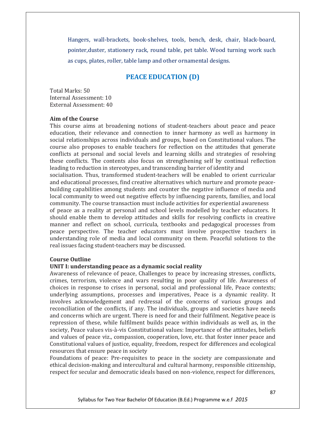Hangers, wall-brackets, book-shelves, tools, bench, desk, chair, black-board, pointer,duster, stationery rack, round table, pet table. Wood turning work such as cups, plates, roller, table lamp and other ornamental designs.

#### PEACE EDUCATION (D)

Total Marks: 50 Internal Assessment: 10 External Assessment: 40

#### Aim of the Course

This course aims at broadening notions of student-teachers about peace and peace education, their relevance and connection to inner harmony as well as harmony in social relationships across individuals and groups, based on Constitutional values. The course also proposes to enable teachers for reflection on the attitudes that generate conflicts at personal and social levels and learning skills and strategies of resolving these conflicts. The contents also focus on strengthening self by continual reflection leading to reduction in stereotypes, and transcending barrier of identity and

socialisation. Thus, transformed student-teachers will be enabled to orient curricular and educational processes, find creative alternatives which nurture and promote peacebuilding capabilities among students and counter the negative influence of media and local community to weed out negative effects by influencing parents, families, and local community. The course transaction must include activities for experiential awareness

of peace as a reality at personal and school levels modelled by teacher educators. It should enable them to develop attitudes and skills for resolving conflicts in creative manner and reflect on school, curricula, textbooks and pedagogical processes from peace perspective. The teacher educators must involve prospective teachers in understanding role of media and local community on them. Peaceful solutions to the real issues facing student-teachers may be discussed.

#### Course Outline

#### UNIT I: understanding peace as a dynamic social reality

Awareness of relevance of peace, Challenges to peace by increasing stresses, conflicts, crimes, terrorism, violence and wars resulting in poor quality of life. Awareness of choices in response to crises in personal, social and professional life, Peace contexts; underlying assumptions, processes and imperatives, Peace is a dynamic reality. It involves acknowledgement and redressal of the concerns of various groups and reconciliation of the conflicts, if any. The individuals, groups and societies have needs and concerns which are urgent. There is need for and their fulfilment. Negative peace is repression of these, while fulfilment builds peace within individuals as well as, in the society, Peace values vis-à-vis Constitutional values: Importance of the attitudes, beliefs and values of peace viz., compassion, cooperation, love, etc. that foster inner peace and Constitutional values of justice, equality, freedom, respect for differences and ecological resources that ensure peace in society

Foundations of peace: Pre-requisites to peace in the society are compassionate and ethical decision-making and intercultural and cultural harmony, responsible citizenship, respect for secular and democratic ideals based on non-violence, respect for differences,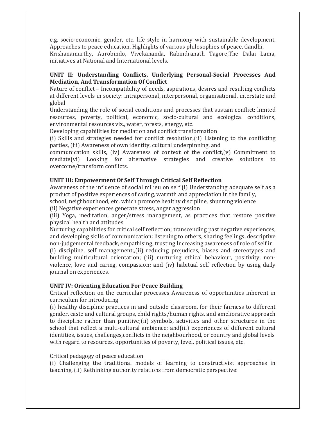e.g. socio-economic, gender, etc. life style in harmony with sustainable development, Approaches to peace education, Highlights of various philosophies of peace, Gandhi, Krishanamurthy, Aurobindo, Vivekananda, Rabindranath Tagore,The Dalai Lama, initiatives at National and International levels.

#### UNIT II: Understanding Conflicts, Underlying Personal-Social Processes And Mediation, And Transformation Of Conflict

Nature of conflict – Incompatibility of needs, aspirations, desires and resulting conflicts at different levels in society: intrapersonal, interpersonal, organisational, interstate and global

Understanding the role of social conditions and processes that sustain conflict: limited resources, poverty, political, economic, socio-cultural and ecological conditions, environmental resources viz., water, forests, energy, etc.

Developing capabilities for mediation and conflict transformation

(i) Skills and strategies needed for conflict resolution,(ii) Listening to the conflicting parties, (iii) Awareness of own identity, cultural underpinning, and

communication skills, (iv) Awareness of context of the conflict,(v) Commitment to mediate(vi) Looking for alternative strategies and creative solutions to overcome/transform conflicts.

#### UNIT III: Empowerment Of Self Through Critical Self Reflection

Awareness of the influence of social milieu on self (i) Understanding adequate self as a product of positive experiences of caring, warmth and appreciation in the family,

school, neighbourhood, etc. which promote healthy discipline, shunning violence

(ii) Negative experiences generate stress, anger aggression

(iii) Yoga, meditation, anger/stress management, as practices that restore positive physical health and attitudes

Nurturing capabilities for critical self reflection; transcending past negative experiences, and developing skills of communication: listening to others, sharing feelings, descriptive non-judgemental feedback, empathising, trusting Increasing awareness of role of self in (i) discipline, self management;,(ii) reducing prejudices, biases and stereotypes and

building multicultural orientation; (iii) nurturing ethical behaviour, positivity, nonviolence, love and caring, compassion; and (iv) habitual self reflection by using daily journal on experiences.

#### UNIT IV: Orienting Education For Peace Building

Critical reflection on the curricular processes Awareness of opportunities inherent in curriculum for introducing

(i) healthy discipline practices in and outside classroom, for their fairness to different gender, caste and cultural groups, child rights/human rights, and ameliorative approach to discipline rather than punitive;(ii) symbols, activities and other structures in the school that reflect a multi-cultural ambience; and(iii) experiences of different cultural identities, issues, challenges,conflicts in the neighbourhood, or country and global levels with regard to resources, opportunities of poverty, level, political issues, etc.

#### Critical pedagogy of peace education

(i) Challenging the traditional models of learning to constructivist approaches in teaching, (ii) Rethinking authority relations from democratic perspective: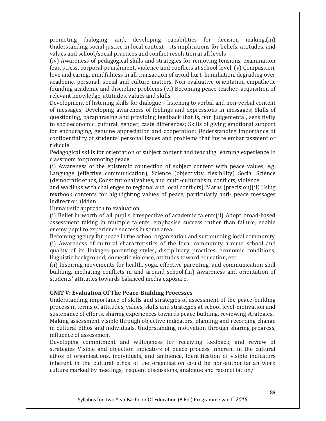promoting dialoging, and, developing capabilities for decision making,(iii) Understanding social justice in local context – its implications for beliefs, attitudes, and values and school/social practices and conflict resolution at all levels

(iv) Awareness of pedagogical skills and strategies for removing tensions, examination fear, stress, corporal punishment, violence and conflicts at school level, (v) Compassion, love and caring, mindfulness in all transaction of avoid hurt, humiliation, degrading over academic, personal, social and culture matters. Non-evaluative orientation empathetic founding academic and discipline problems (vi) Becoming peace teacher–acquisition of relevant knowledge, attitudes, values and skills.

Development of listening skills for dialogue – listening to verbal and non-verbal content of messages; Developing awareness of feelings and expressions in messages; Skills of questioning, paraphrasing and providing feedback that is, non judgemental, sensitivity to socioeconomic, cultural, gender, caste differences; Skills of giving emotional support for encouraging, genuine appreciation and cooperation; Understanding importance of confidentiality of students' personal issues and problems that invite embarrassment or ridicule

Pedagogical skills for orientation of subject content and teaching learning experience in classroom for promoting peace

(i) Awareness of the epistemic connection of subject content with peace values, e.g. Language (effective communication), Science (objectivity, flexibility) Social Science (democratic ethos, Constitutional values, and multi-culturalism, conflicts, violence

and warlinks with challenges to regional and local conflicts), Maths (precision)(ii) Using textbook contents for highlighting values of peace, particularly anti- peace messages indirect or hidden

Humanistic approach to evaluation

(i) Belief in worth of all pupils irrespective of academic talents(ii) Adopt broad-based assessment taking in multiple talents, emphasise success rather than failure, enable enemy pupil to experience success in some area

Becoming agency for peace in the school organisation and surrounding local community (i) Awareness of cultural characteristics of the local community around school and quality of its linkages–parenting styles, disciplinary practices, economic conditions, linguistic background, domestic violence, attitudes toward education, etc.

(ii) Inspiring movements for health, yoga, effective parenting, and communication skill building, mediating conflicts in and around school,(iii) Awareness and orientation of students' attitudes towards balanced media exposure.

#### UNIT V: Evaluation Of The Peace-Building Processes

Understanding importance of skills and strategies of assessment of the peace-building process in terms of attitudes, values, skills and strategies at school level-motivation and sustenance of efforts, sharing experiences towards peace building, reviewing strategies. Making assessment visible through objective indicators, planning and recording change in cultural ethos and individuals. Understanding motivation through sharing progress, influence of assessment

Developing commitment and willingness for receiving feedback, and review of strategies Visible and objection indicators of peace process inherent in the cultural ethos of organisations, individuals, and ambience, Identification of visible indicators inherent in the cultural ethos of the organisation could be non-authoritarian work culture marked by meetings, frequent discussions, analogue and reconciliation/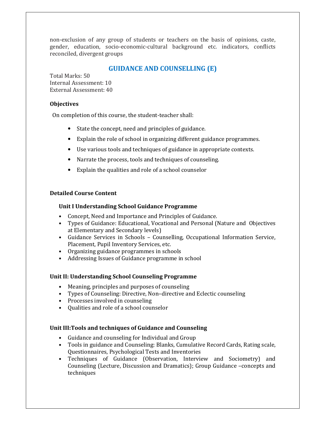non-exclusion of any group of students or teachers on the basis of opinions, caste, gender, education, socio-economic-cultural background etc. indicators, conflicts reconciled, divergent groups

### GUIDANCE AND COUNSELLING (E)

Total Marks: 50 Internal Assessment: 10 External Assessment: 40

#### **Objectives**

On completion of this course, the student-teacher shall:

- State the concept, need and principles of guidance.
- Explain the role of school in organizing different guidance programmes.
- Use various tools and techniques of guidance in appropriate contexts.
- Narrate the process, tools and techniques of counseling.
- Explain the qualities and role of a school counselor

#### Detailed Course Content

#### Unit I Understanding School Guidance Programme

- Concept, Need and Importance and Principles of Guidance.
- Types of Guidance: Educational, Vocational and Personal (Nature and Objectives at Elementary and Secondary levels)
- Guidance Services in Schools Counselling, Occupational Information Service, Placement, Pupil Inventory Services, etc.
- Organizing guidance programmes in schools
- Addressing Issues of Guidance programme in school

#### Unit II: Understanding School Counseling Programme

- Meaning, principles and purposes of counseling
- Types of Counseling: Directive, Non–directive and Eclectic counseling
- Processes involved in counseling
- Qualities and role of a school counselor

#### Unit III:Tools and techniques of Guidance and Counseling

- Guidance and counseling for Individual and Group
- Tools in guidance and Counseling: Blanks, Cumulative Record Cards, Rating scale, Questionnaires, Psychological Tests and Inventories
- Techniques of Guidance (Observation, Interview and Sociometry) and Counseling (Lecture, Discussion and Dramatics); Group Guidance –concepts and techniques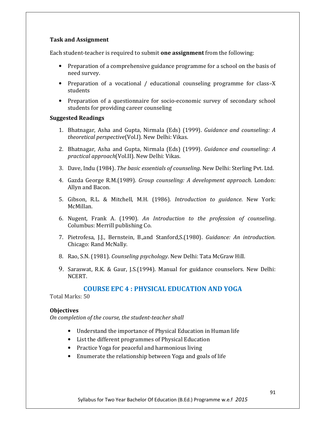#### Task and Assignment

Each student-teacher is required to submit one assignment from the following:

- Preparation of a comprehensive guidance programme for a school on the basis of need survey.
- Preparation of a vocational / educational counseling programme for class–X students
- Preparation of a questionnaire for socio-economic survey of secondary school students for providing career counseling

#### Suggested Readings

- 1. Bhatnagar, Asha and Gupta, Nirmala (Eds) (1999). Guidance and counseling: A theoretical perspective(Vol.I). New Delhi: Vikas.
- 2. Bhatnagar, Asha and Gupta, Nirmala (Eds) (1999). Guidance and counseling: A practical approach(Vol.II). New Delhi: Vikas.
- 3. Dave, Indu (1984). The basic essentials of counseling. New Delhi: Sterling Pvt. Ltd.
- 4. Gazda George R.M.(1989). Group counseling: A development approach. London: Allyn and Bacon.
- 5. Gibson, R.L. & Mitchell, M.H. (1986). Introduction to guidance. New York: McMillan.
- 6. Nugent, Frank A. (1990). An Introduction to the profession of counseling. Columbus: Merrill publishing Co.
- 7. Pietrofesa, J.J., Bernstein, B.,and Stanford,S.(1980). Guidance: An introduction. Chicago: Rand McNally.
- 8. Rao, S.N. (1981). Counseling psychology. New Delhi: Tata McGraw Hill.
- 9. Saraswat, R.K. & Gaur, J.S.(1994). Manual for guidance counselors. New Delhi: NCERT.

## COURSE EPC 4 : PHYSICAL EDUCATION AND YOGA

Total Marks: 50

#### **Objectives**

On completion of the course, the student-teacher shall

- Understand the importance of Physical Education in Human life
- List the different programmes of Physical Education
- Practice Yoga for peaceful and harmonious living
- Enumerate the relationship between Yoga and goals of life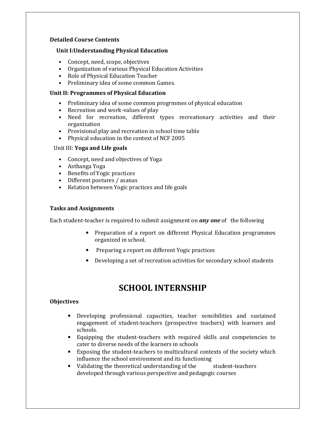#### Detailed Course Contents

#### Unit I:Understanding Physical Education

- Concept, need, scope, objectives
- Organization of various Physical Education Activities
- Role of Physical Education Teacher
- Preliminary idea of some common Games.

#### Unit II: Programmes of Physical Education

- Preliminary idea of some common progrmmes of physical education
- Recreation and work-values of play
- Need for recreation, different types recreationary activities and their organization
- Provisional play and recreation in school time table
- Physical education in the context of NCF 2005

#### Unit III: Yoga and Life goals

- Concept, need and objectives of Yoga
- Asthanga Yoga
- Benefits of Yogic practices
- Different postures / asanas
- Relation between Yogic practices and life goals

#### Tasks and Assignments

Each student-teacher is required to submit assignment on **any one** of the following

- Preparation of a report on different Physical Education programmes organized in school.
- Preparing a report on different Yogic practices
- Developing a set of recreation activities for secondary school students

## SCHOOL INTERNSHIP

#### **Objectives**

- Developing professional capacities, teacher sensibilities and sustained engagement of student-teachers (prospective teachers) with learners and schools.
- Equipping the student-teachers with required skills and competencies to cater to diverse needs of the learners in schools
- Exposing the student-teachers to multicultural contexts of the society which influence the school environment and its functioning
- Validating the theoretical understanding of the student-teachers developed through various perspective and pedagogic courses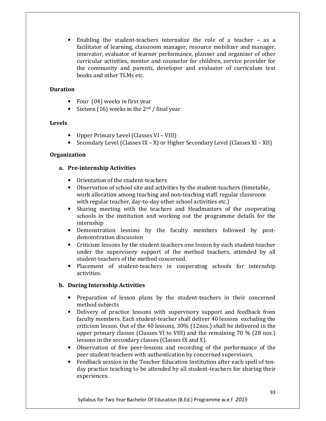Enabling the student-teachers internalize the role of a teacher  $-$  as a facilitator of learning, classroom manager, resource mobilizer and manager, innovator, evaluator of learner performance, planner and organizer of other curricular activities, mentor and counselor for children, service provider for the community and parents, developer and evaluator of curriculum text books and other TLMs etc.

#### Duration

- Four (04) weeks in first year
- Sixteen (16) weeks in the  $2<sup>nd</sup>$  / final year

#### Levels

- Upper Primary Level (Classes VI VIII)
- Secondary Level (Classes IX X) or Higher Secondary Level (Classes XI XII)

#### **Organization**

#### a. Pre-internship Activities

- Orientation of the student-teachers
- Observation of school site and activities by the student-teachers (timetable, work allocation among teaching and non-teaching staff, regular classroom with regular teacher, day-to-day other school activities etc.)
- Sharing meeting with the teachers and Headmasters of the cooperating schools in the institution and working out the programme details for the internship
- Demonstration lessons by the faculty members followed by postdemonstration discussion
- Criticism lessons by the student-teachers one lesson by each student-teacher under the supervisory support of the method teachers, attended by all student-teachers of the method concerned.
- Placement of student-teachers in cooperating schools for internship activities.

#### b. During Internship Activities

- Preparation of lesson plans by the student-teachers in their concerned method subjects
- Delivery of practice lessons with supervisory support and feedback from faculty members. Each student-teacher shall deliver 40 lessons excluding the criticism lesson. Out of the 40 lessons, 30% (12nos.) shall be delivered in the upper primary classes (Classes VI to VIII) and the remaining 70 % (28 nos.) lessons in the secondary classes (Classes IX and X).
- Observation of five peer-lessons and recording of the performance of the peer student-teachers with authentication by concerned supervisors.
- Feedback session in the Teacher Education Institution after each spell of tenday practice teaching to be attended by all student-teachers for sharing their experiences.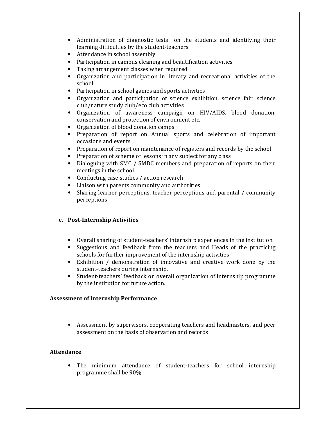- Administration of diagnostic tests on the students and identifying their learning difficulties by the student-teachers
- Attendance in school assembly
- Participation in campus cleaning and beautification activities
- Taking arrangement classes when required
- Organization and participation in literary and recreational activities of the school
- Participation in school games and sports activities
- Organization and participation of science exhibition, science fair, science club/nature study club/eco club activities
- Organization of awareness campaign on HIV/AIDS, blood donation, conservation and protection of environment etc.
- Organization of blood donation camps
- Preparation of report on Annual sports and celebration of important occasions and events
- Preparation of report on maintenance of registers and records by the school
- Preparation of scheme of lessons in any subject for any class
- Dialoguing with SMC / SMDC members and preparation of reports on their meetings in the school
- Conducting case studies / action research
- Liaison with parents community and authorities
- Sharing learner perceptions, teacher perceptions and parental / community perceptions

#### c. Post-Internship Activities

- Overall sharing of student-teachers' internship experiences in the institution.
- Suggestions and feedback from the teachers and Heads of the practicing schools for further improvement of the internship activities
- Exhibition / demonstration of innovative and creative work done by the student-teachers during internship.
- Student-teachers' feedback on overall organization of internship programme by the institution for future action.

#### Assessment of Internship Performance

• Assessment by supervisors, cooperating teachers and headmasters, and peer assessment on the basis of observation and records

#### Attendance

The minimum attendance of student-teachers for school internship programme shall be 90%